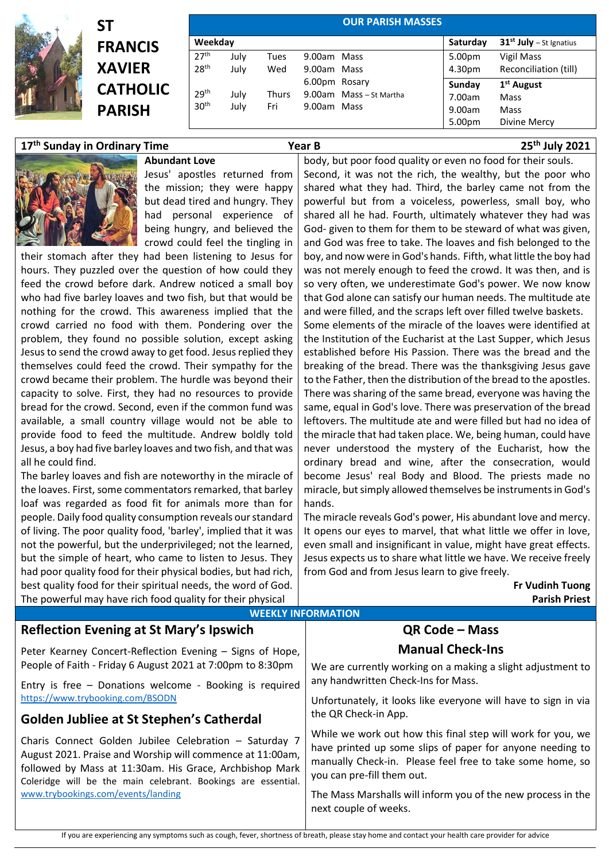

## **ST FRANCIS XAVIER CATHOLIC PARISH**

| Weekday          |      |              |               |                         | Saturday | $31st$ July – St Ignatius |
|------------------|------|--------------|---------------|-------------------------|----------|---------------------------|
| 27 <sup>th</sup> |      |              |               |                         |          |                           |
|                  | July | Tues         | 9.00am Mass   |                         | 5.00pm   | Vigil Mass                |
| 28 <sup>th</sup> | July | Wed          | 9.00am Mass   |                         | 4.30pm   | Reconciliation (till)     |
|                  |      |              | 6.00pm Rosary |                         | Sunday   | 1 <sup>st</sup> August    |
| 29 <sup>th</sup> | July | <b>Thurs</b> |               | 9.00am Mass - St Martha | 7.00am   | Mass                      |
| 30 <sup>th</sup> | July | Fri          | 9.00am Mass   |                         | 9.00am   | Mass                      |
|                  |      |              |               |                         | 5.00pm   | Divine Mercy              |

## **17 th Sunday in Ordinary Time Year B 25th July 2021**

**Abundant Love** Jesus' apostles returned from the mission; they were happy but dead tired and hungry. They had personal experience of being hungry, and believed the crowd could feel the tingling in

their stomach after they had been listening to Jesus for hours. They puzzled over the question of how could they feed the crowd before dark. Andrew noticed a small boy who had five barley loaves and two fish, but that would be nothing for the crowd. This awareness implied that the crowd carried no food with them. Pondering over the problem, they found no possible solution, except asking Jesus to send the crowd away to get food. Jesus replied they themselves could feed the crowd. Their sympathy for the crowd became their problem. The hurdle was beyond their capacity to solve. First, they had no resources to provide bread for the crowd. Second, even if the common fund was available, a small country village would not be able to provide food to feed the multitude. Andrew boldly told Jesus, a boy had five barley loaves and two fish, and that was all he could find.

The barley loaves and fish are noteworthy in the miracle of the loaves. First, some commentators remarked, that barley loaf was regarded as food fit for animals more than for people. Daily food quality consumption reveals our standard of living. The poor quality food, 'barley', implied that it was not the powerful, but the underprivileged; not the learned, but the simple of heart, who came to listen to Jesus. They had poor quality food for their physical bodies, but had rich, best quality food for their spiritual needs, the word of God. The powerful may have rich food quality for their physical

Second, it was not the rich, the wealthy, but the poor who shared what they had. Third, the barley came not from the powerful but from a voiceless, powerless, small boy, who shared all he had. Fourth, ultimately whatever they had was God- given to them for them to be steward of what was given, and God was free to take. The loaves and fish belonged to the boy, and now were in God's hands. Fifth, what little the boy had was not merely enough to feed the crowd. It was then, and is so very often, we underestimate God's power. We now know that God alone can satisfy our human needs. The multitude ate and were filled, and the scraps left over filled twelve baskets. Some elements of the miracle of the loaves were identified at the Institution of the Eucharist at the Last Supper, which Jesus established before His Passion. There was the bread and the breaking of the bread. There was the thanksgiving Jesus gave to the Father, then the distribution of the bread to the apostles. There was sharing of the same bread, everyone was having the same, equal in God's love. There was preservation of the bread leftovers. The multitude ate and were filled but had no idea of the miracle that had taken place. We, being human, could have never understood the mystery of the Eucharist, how the ordinary bread and wine, after the consecration, would become Jesus' real Body and Blood. The priests made no miracle, but simply allowed themselves be instruments in God's hands.

body, but poor food quality or even no food for their souls.

The miracle reveals God's power, His abundant love and mercy. It opens our eyes to marvel, that what little we offer in love, even small and insignificant in value, might have great effects. Jesus expects us to share what little we have. We receive freely from God and from Jesus learn to give freely.

> **Fr Vudinh Tuong Parish Priest**

| <b>Reflection Evening at St Mary's Ipswich</b>                                                                                                                                                                                                  | QR Code - Mass                                                                                                                                                                                                      |  |  |  |  |  |
|-------------------------------------------------------------------------------------------------------------------------------------------------------------------------------------------------------------------------------------------------|---------------------------------------------------------------------------------------------------------------------------------------------------------------------------------------------------------------------|--|--|--|--|--|
| Peter Kearney Concert-Reflection Evening - Signs of Hope,                                                                                                                                                                                       | <b>Manual Check-Ins</b>                                                                                                                                                                                             |  |  |  |  |  |
| People of Faith - Friday 6 August 2021 at 7:00pm to 8:30pm                                                                                                                                                                                      | We are currently working on a making a slight adjustment to                                                                                                                                                         |  |  |  |  |  |
| Entry is free - Donations welcome - Booking is required                                                                                                                                                                                         | any handwritten Check-Ins for Mass.                                                                                                                                                                                 |  |  |  |  |  |
| https://www.trybooking.com/BSODN                                                                                                                                                                                                                | Unfortunately, it looks like everyone will have to sign in via<br>the QR Check-in App.                                                                                                                              |  |  |  |  |  |
| <b>Golden Jubliee at St Stephen's Catherdal</b>                                                                                                                                                                                                 |                                                                                                                                                                                                                     |  |  |  |  |  |
| Charis Connect Golden Jubilee Celebration - Saturday 7<br>August 2021. Praise and Worship will commence at 11:00am,<br>followed by Mass at 11:30am. His Grace, Archbishop Mark<br>Coleridge will be the main celebrant. Bookings are essential. | While we work out how this final step will work for you, we<br>have printed up some slips of paper for anyone needing to<br>manually Check-in. Please feel free to take some home, so<br>you can pre-fill them out. |  |  |  |  |  |
| www.trybookings.com/events/landing                                                                                                                                                                                                              | The Mass Marshalls will inform you of the new process in the<br>next couple of weeks.                                                                                                                               |  |  |  |  |  |

**WEEKLY INFORMATION**